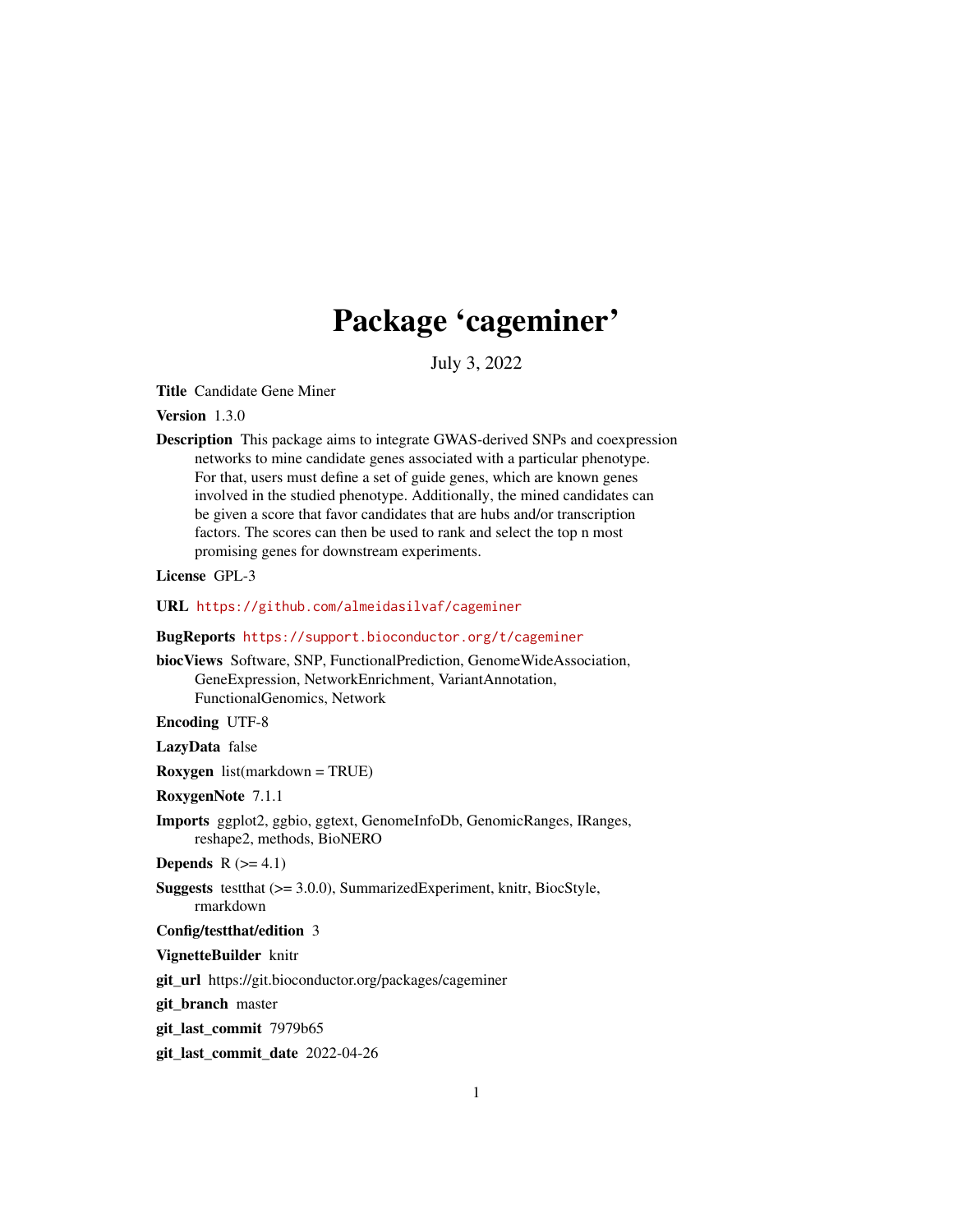## Package 'cageminer'

July 3, 2022

<span id="page-0-0"></span>Title Candidate Gene Miner

Version 1.3.0

Description This package aims to integrate GWAS-derived SNPs and coexpression networks to mine candidate genes associated with a particular phenotype. For that, users must define a set of guide genes, which are known genes involved in the studied phenotype. Additionally, the mined candidates can be given a score that favor candidates that are hubs and/or transcription factors. The scores can then be used to rank and select the top n most promising genes for downstream experiments.

License GPL-3

URL <https://github.com/almeidasilvaf/cageminer>

#### BugReports <https://support.bioconductor.org/t/cageminer>

biocViews Software, SNP, FunctionalPrediction, GenomeWideAssociation, GeneExpression, NetworkEnrichment, VariantAnnotation, FunctionalGenomics, Network

Encoding UTF-8

LazyData false

Roxygen list(markdown = TRUE)

RoxygenNote 7.1.1

- Imports ggplot2, ggbio, ggtext, GenomeInfoDb, GenomicRanges, IRanges, reshape2, methods, BioNERO
- Depends  $R$  ( $>= 4.1$ )
- Suggests testthat (>= 3.0.0), SummarizedExperiment, knitr, BiocStyle, rmarkdown

#### Config/testthat/edition 3

VignetteBuilder knitr

git\_url https://git.bioconductor.org/packages/cageminer

git branch master

git\_last\_commit 7979b65

git\_last\_commit\_date 2022-04-26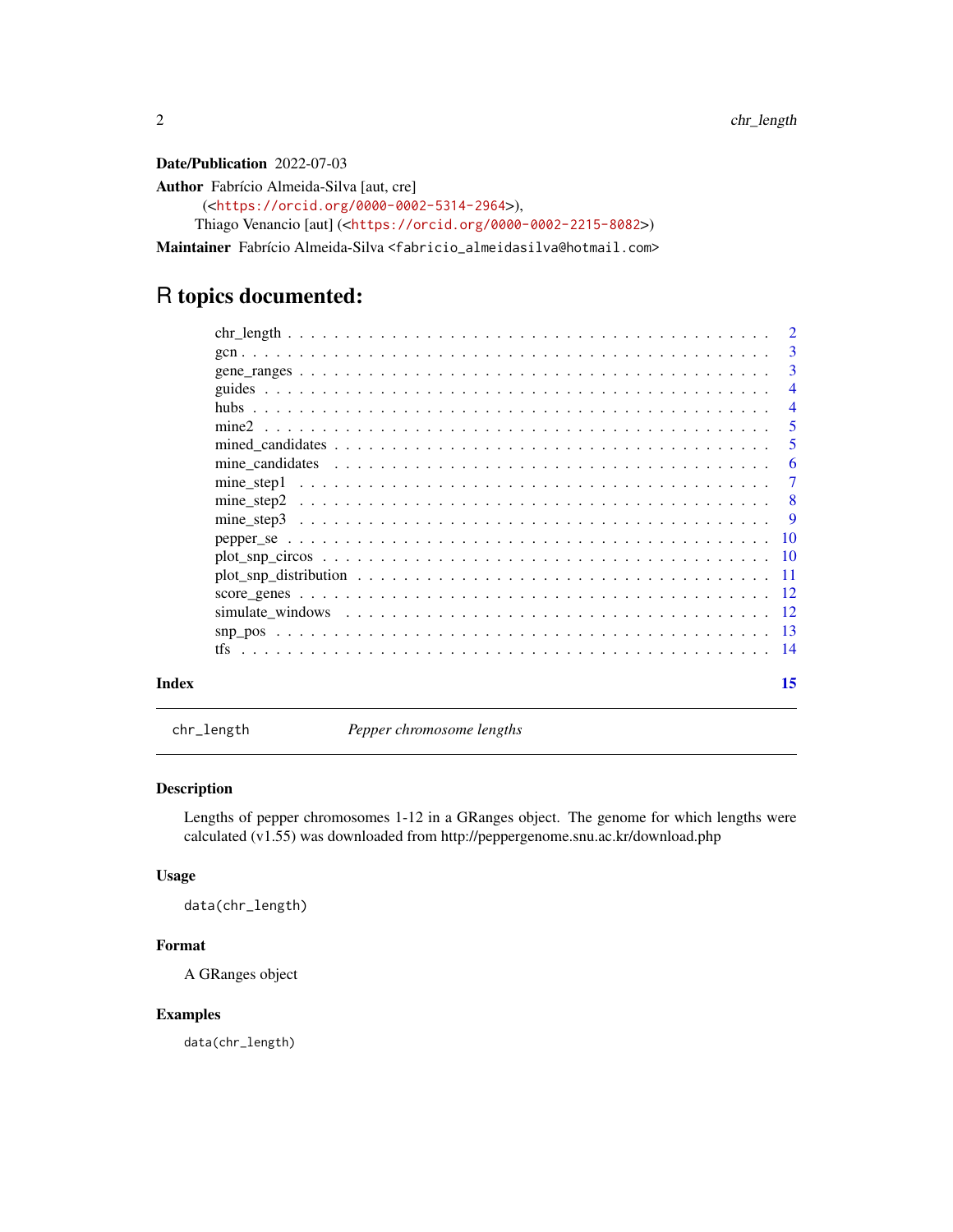<span id="page-1-0"></span>Date/Publication 2022-07-03

Author Fabrício Almeida-Silva [aut, cre] (<<https://orcid.org/0000-0002-5314-2964>>), Thiago Venancio [aut] (<<https://orcid.org/0000-0002-2215-8082>>)

Maintainer Fabrício Almeida-Silva <fabricio\_almeidasilva@hotmail.com>

## R topics documented:

| $\overline{\mathbf{3}}$ |
|-------------------------|
| $\overline{3}$          |
| $\overline{4}$          |
| $\overline{4}$          |
| - 5                     |
| -5                      |
| -6                      |
| -7                      |
|                         |
|                         |
|                         |
|                         |
|                         |
|                         |
|                         |
|                         |
|                         |
| 15                      |

chr\_length *Pepper chromosome lengths*

#### Description

Lengths of pepper chromosomes 1-12 in a GRanges object. The genome for which lengths were calculated (v1.55) was downloaded from http://peppergenome.snu.ac.kr/download.php

#### Usage

data(chr\_length)

#### Format

A GRanges object

#### Examples

data(chr\_length)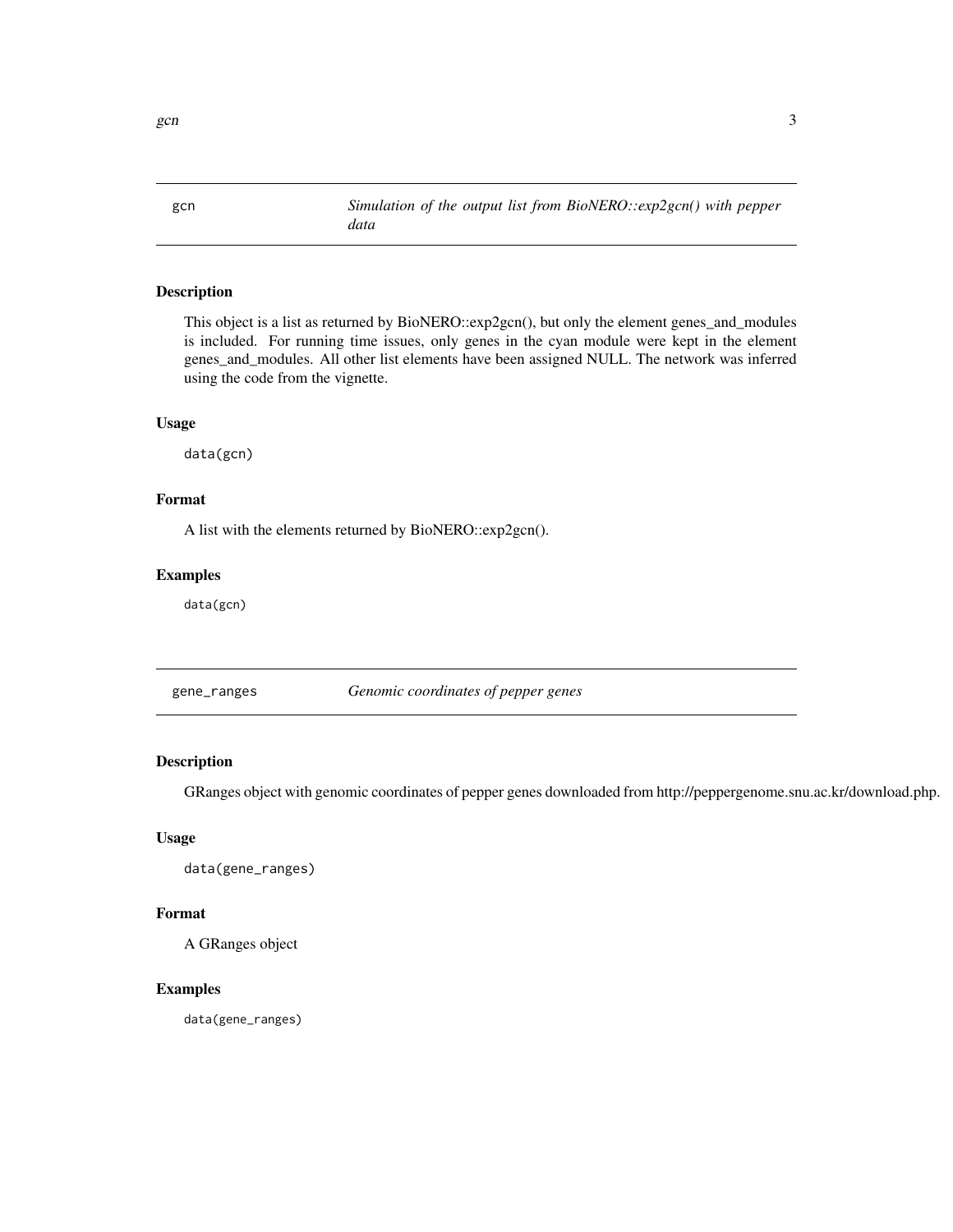<span id="page-2-0"></span>gcn *Simulation of the output list from BioNERO::exp2gcn() with pepper data*

#### Description

This object is a list as returned by BioNERO::exp2gcn(), but only the element genes\_and\_modules is included. For running time issues, only genes in the cyan module were kept in the element genes\_and\_modules. All other list elements have been assigned NULL. The network was inferred using the code from the vignette.

#### Usage

data(gcn)

#### Format

A list with the elements returned by BioNERO::exp2gcn().

#### Examples

data(gcn)

gene\_ranges *Genomic coordinates of pepper genes*

#### Description

GRanges object with genomic coordinates of pepper genes downloaded from http://peppergenome.snu.ac.kr/download.php.

#### Usage

data(gene\_ranges)

#### Format

A GRanges object

#### Examples

data(gene\_ranges)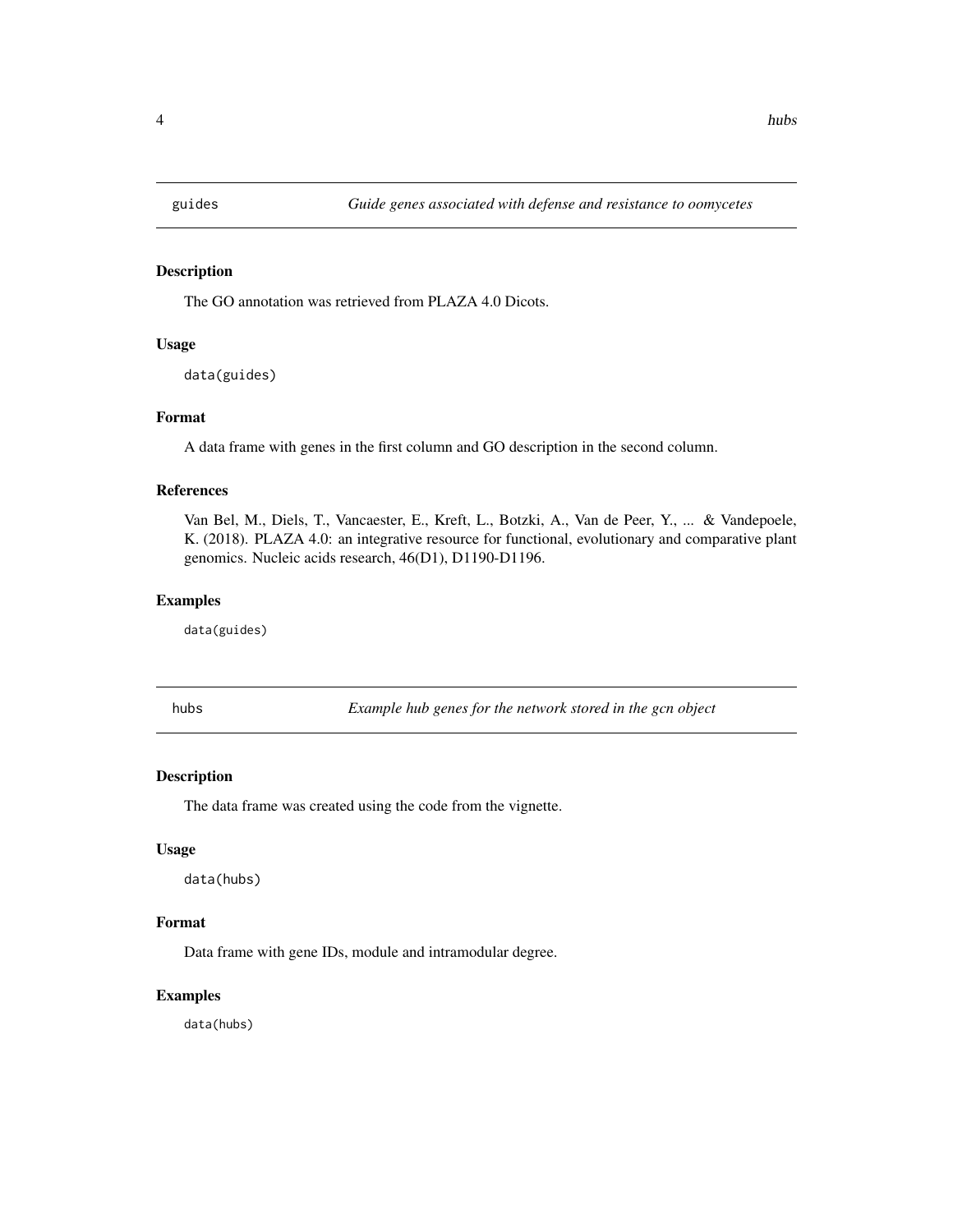<span id="page-3-0"></span>

The GO annotation was retrieved from PLAZA 4.0 Dicots.

#### Usage

data(guides)

#### Format

A data frame with genes in the first column and GO description in the second column.

#### References

Van Bel, M., Diels, T., Vancaester, E., Kreft, L., Botzki, A., Van de Peer, Y., ... & Vandepoele, K. (2018). PLAZA 4.0: an integrative resource for functional, evolutionary and comparative plant genomics. Nucleic acids research, 46(D1), D1190-D1196.

#### Examples

data(guides)

hubs *Example hub genes for the network stored in the gcn object*

#### Description

The data frame was created using the code from the vignette.

#### Usage

data(hubs)

#### Format

Data frame with gene IDs, module and intramodular degree.

#### Examples

data(hubs)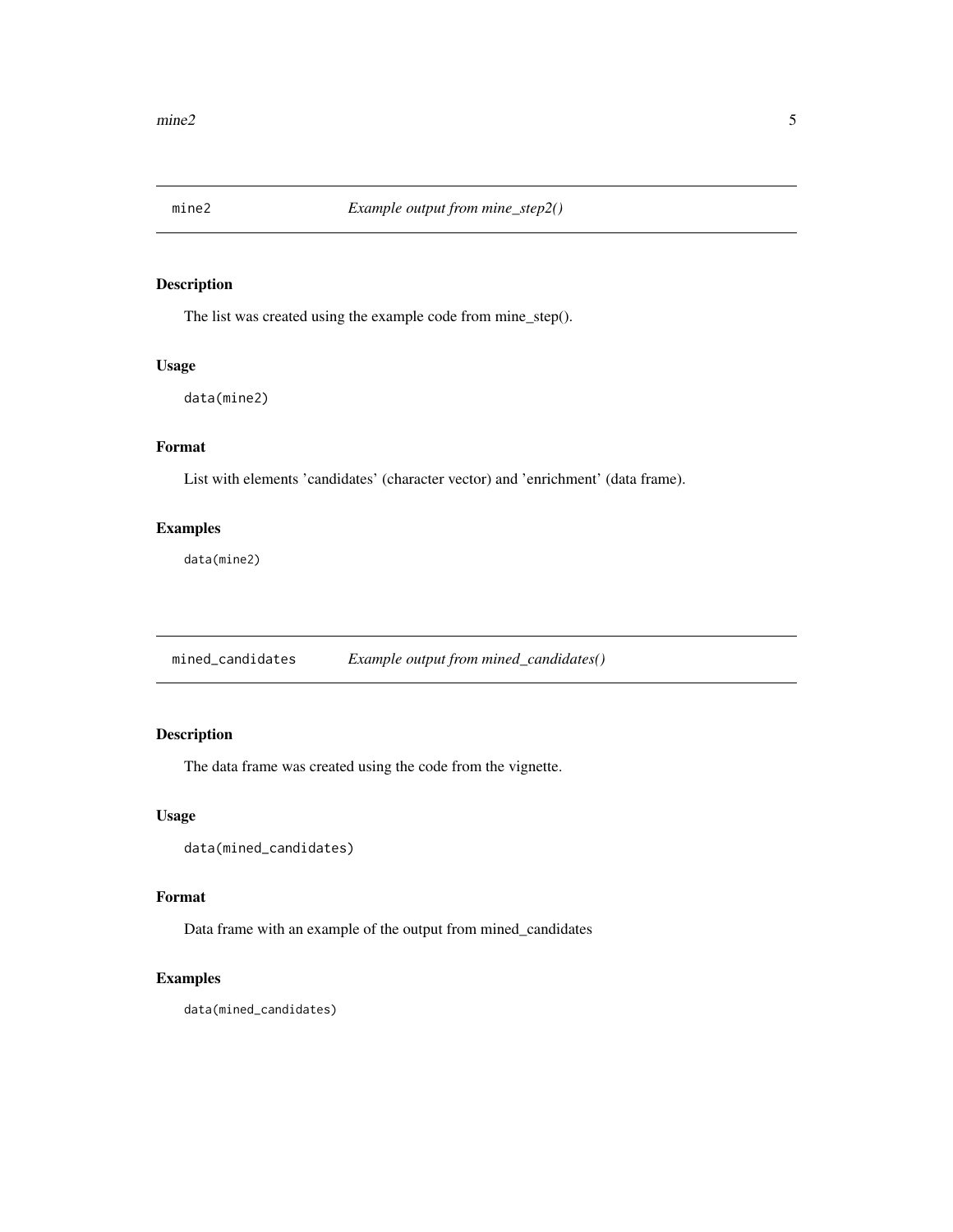<span id="page-4-0"></span>

The list was created using the example code from mine\_step().

#### Usage

data(mine2)

#### Format

List with elements 'candidates' (character vector) and 'enrichment' (data frame).

#### Examples

data(mine2)

mined\_candidates *Example output from mined\_candidates()*

#### Description

The data frame was created using the code from the vignette.

#### Usage

```
data(mined_candidates)
```
#### Format

Data frame with an example of the output from mined\_candidates

#### Examples

data(mined\_candidates)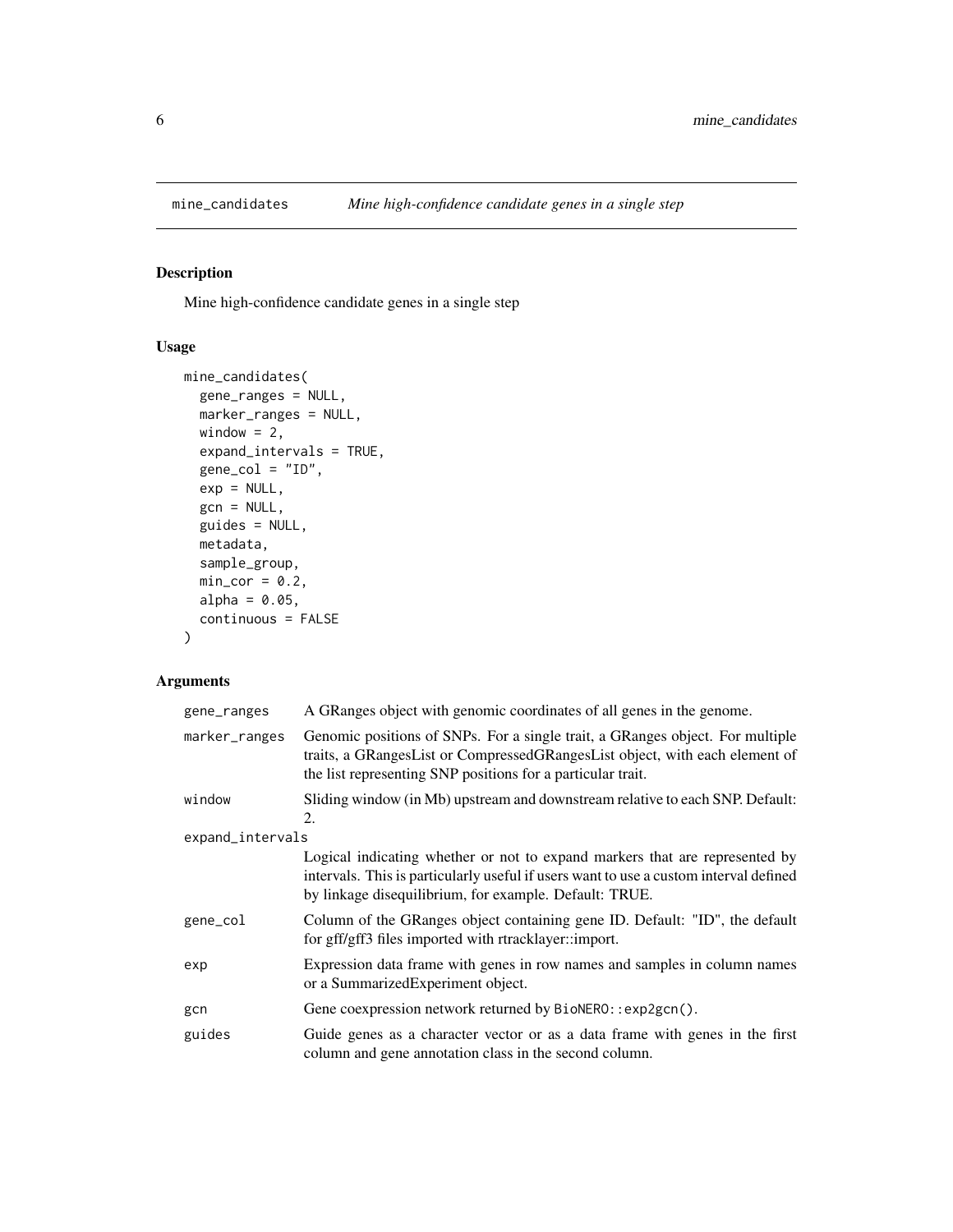<span id="page-5-0"></span>

Mine high-confidence candidate genes in a single step

#### Usage

```
mine_candidates(
  gene_ranges = NULL,
 marker_ranges = NULL,
 window = 2,
  expand_intervals = TRUE,
  gene\_col = "ID",exp = NULL,gcn = NULL,
  guides = NULL,
 metadata,
  sample_group,
 min\_cor = 0.2,
 alpha = 0.05,
  continuous = FALSE
)
```
#### Arguments

| gene_ranges      | A GRanges object with genomic coordinates of all genes in the genome.                                                                                                                                                          |
|------------------|--------------------------------------------------------------------------------------------------------------------------------------------------------------------------------------------------------------------------------|
| marker_ranges    | Genomic positions of SNPs. For a single trait, a GRanges object. For multiple<br>traits, a GRangesList or CompressedGRangesList object, with each element of<br>the list representing SNP positions for a particular trait.    |
| window           | Sliding window (in Mb) upstream and downstream relative to each SNP. Default:<br>2.                                                                                                                                            |
| expand_intervals |                                                                                                                                                                                                                                |
|                  | Logical indicating whether or not to expand markers that are represented by<br>intervals. This is particularly useful if users want to use a custom interval defined<br>by linkage disequilibrium, for example. Default: TRUE. |
| gene_col         | Column of the GRanges object containing gene ID. Default: "ID", the default<br>for gff/gff3 files imported with rtracklayer::import.                                                                                           |
| exp              | Expression data frame with genes in row names and samples in column names<br>or a Summarized Experiment object.                                                                                                                |
| gcn              | Gene coexpression network returned by BioNERO::exp2gcn().                                                                                                                                                                      |
| guides           | Guide genes as a character vector or as a data frame with genes in the first<br>column and gene annotation class in the second column.                                                                                         |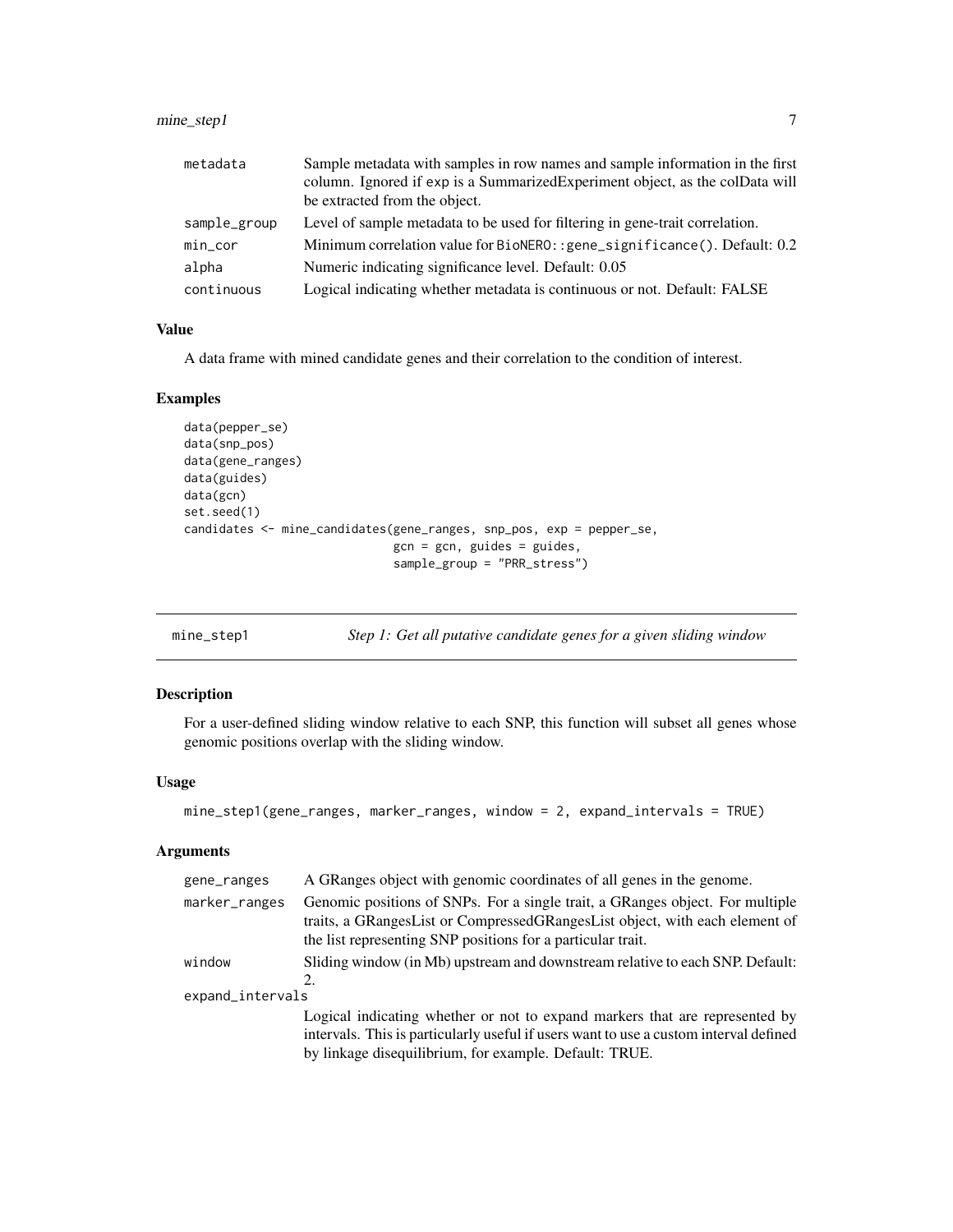#### <span id="page-6-0"></span>mine\_step1 7

| metadata     | Sample metadata with samples in row names and sample information in the first<br>column. Ignored if exp is a Summarized Experiment object, as the colData will<br>be extracted from the object. |
|--------------|-------------------------------------------------------------------------------------------------------------------------------------------------------------------------------------------------|
| sample_group | Level of sample metadata to be used for filtering in gene-trait correlation.                                                                                                                    |
| $min\_cor$   | Minimum correlation value for BioNERO:: gene_significance(). Default: 0.2                                                                                                                       |
| alpha        | Numeric indicating significance level. Default: 0.05                                                                                                                                            |
| continuous   | Logical indicating whether metadata is continuous or not. Default: FALSE                                                                                                                        |

#### Value

A data frame with mined candidate genes and their correlation to the condition of interest.

#### Examples

```
data(pepper_se)
data(snp_pos)
data(gene_ranges)
data(guides)
data(gcn)
set.seed(1)
candidates <- mine_candidates(gene_ranges, snp_pos, exp = pepper_se,
                              gcn = gcn, guides = guides,
                              sample_group = "PRR_stress")
```

| Step 1: Get all putative candidate genes for a given sliding window | mine_step1 |  |  |  |  |  |  |  |  |
|---------------------------------------------------------------------|------------|--|--|--|--|--|--|--|--|
|---------------------------------------------------------------------|------------|--|--|--|--|--|--|--|--|

#### Description

For a user-defined sliding window relative to each SNP, this function will subset all genes whose genomic positions overlap with the sliding window.

#### Usage

```
mine_step1(gene_ranges, marker_ranges, window = 2, expand_intervals = TRUE)
```
#### Arguments

| gene_ranges      | A GRanges object with genomic coordinates of all genes in the genome.                                                                                                                                                          |
|------------------|--------------------------------------------------------------------------------------------------------------------------------------------------------------------------------------------------------------------------------|
| marker_ranges    | Genomic positions of SNPs. For a single trait, a GRanges object. For multiple<br>traits, a GRangesList or CompressedGRangesList object, with each element of<br>the list representing SNP positions for a particular trait.    |
| window           | Sliding window (in Mb) upstream and downstream relative to each SNP. Default:                                                                                                                                                  |
|                  | $\mathfrak{D}_{\cdot}$                                                                                                                                                                                                         |
| expand_intervals |                                                                                                                                                                                                                                |
|                  | Logical indicating whether or not to expand markers that are represented by<br>intervals. This is particularly useful if users want to use a custom interval defined<br>by linkage disequilibrium, for example. Default: TRUE. |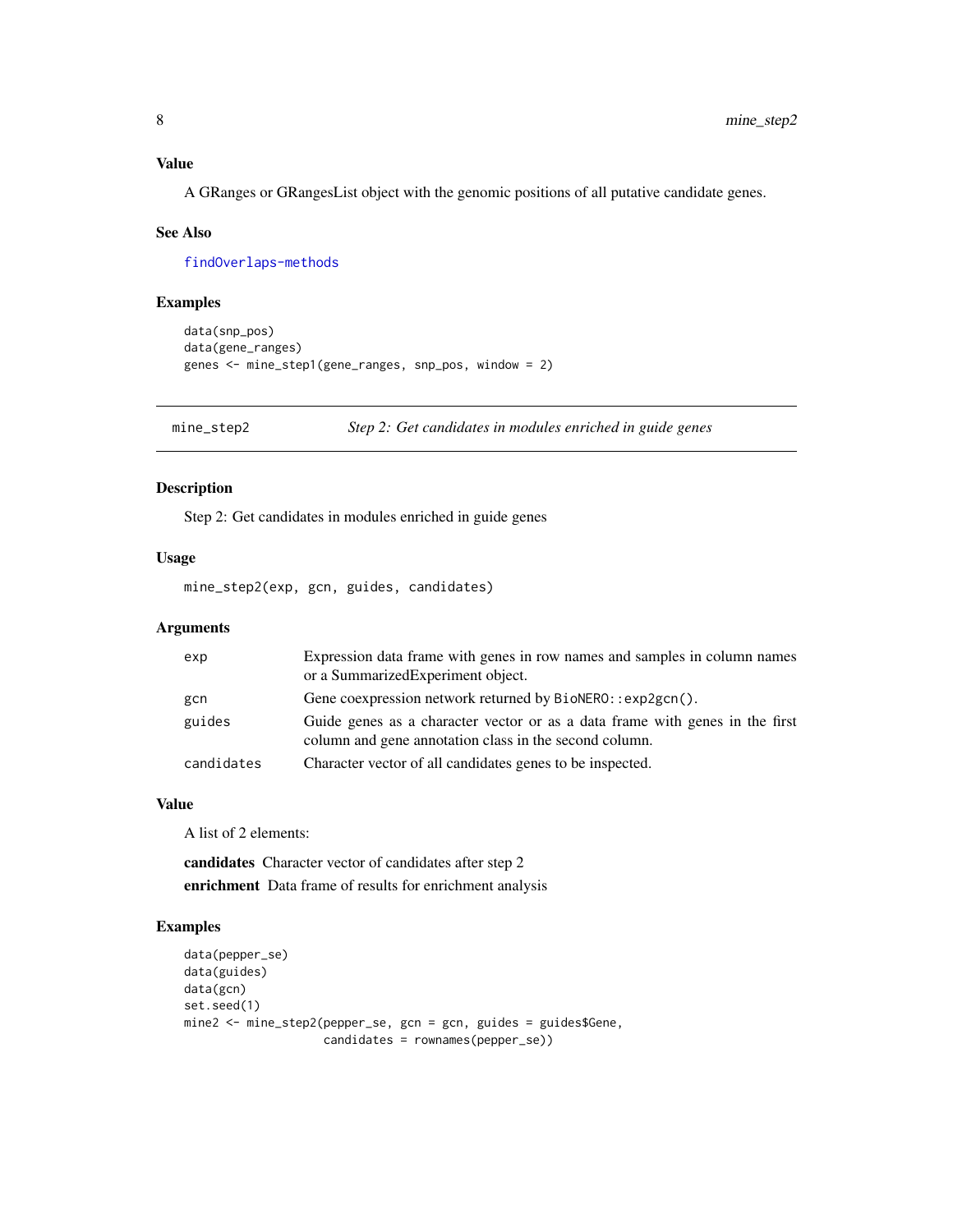#### <span id="page-7-0"></span>Value

A GRanges or GRangesList object with the genomic positions of all putative candidate genes.

#### See Also

[findOverlaps-methods](#page-0-0)

#### Examples

```
data(snp_pos)
data(gene_ranges)
genes <- mine_step1(gene_ranges, snp_pos, window = 2)
```
mine\_step2 *Step 2: Get candidates in modules enriched in guide genes*

#### Description

Step 2: Get candidates in modules enriched in guide genes

#### Usage

mine\_step2(exp, gcn, guides, candidates)

#### Arguments

| exp        | Expression data frame with genes in row names and samples in column names<br>or a SummarizedExperiment object.                         |
|------------|----------------------------------------------------------------------------------------------------------------------------------------|
| gcn        | Gene coexpression network returned by BioNERO: : exp2gcn().                                                                            |
| guides     | Guide genes as a character vector or as a data frame with genes in the first<br>column and gene annotation class in the second column. |
| candidates | Character vector of all candidates genes to be inspected.                                                                              |

#### Value

A list of 2 elements:

candidates Character vector of candidates after step 2 enrichment Data frame of results for enrichment analysis

#### Examples

```
data(pepper_se)
data(guides)
data(gcn)
set.seed(1)
mine2 <- mine_step2(pepper_se, gcn = gcn, guides = guides$Gene,
                    candidates = rownames(pepper_se))
```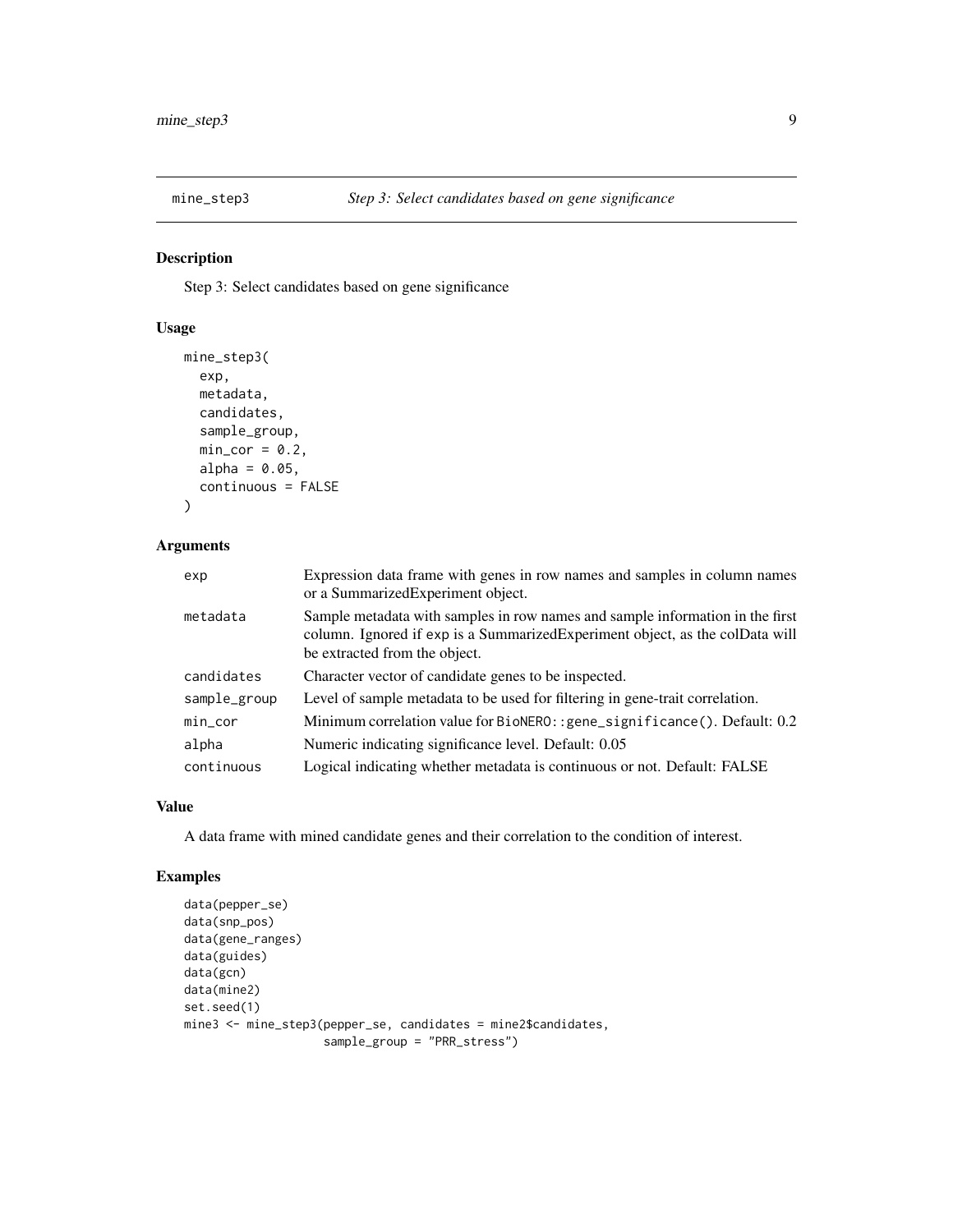<span id="page-8-0"></span>

Step 3: Select candidates based on gene significance

#### Usage

```
mine_step3(
  exp,
 metadata,
 candidates,
  sample_group,
 min\_cor = 0.2,
  alpha = 0.05,
  continuous = FALSE
)
```
#### Arguments

| exp          | Expression data frame with genes in row names and samples in column names<br>or a Summarized Experiment object.                                                                                 |
|--------------|-------------------------------------------------------------------------------------------------------------------------------------------------------------------------------------------------|
| metadata     | Sample metadata with samples in row names and sample information in the first<br>column. Ignored if exp is a Summarized Experiment object, as the colData will<br>be extracted from the object. |
| candidates   | Character vector of candidate genes to be inspected.                                                                                                                                            |
| sample_group | Level of sample metadata to be used for filtering in gene-trait correlation.                                                                                                                    |
| $min\_cor$   | Minimum correlation value for BioNERO:: gene_significance(). Default: 0.2                                                                                                                       |
| alpha        | Numeric indicating significance level. Default: 0.05                                                                                                                                            |
| continuous   | Logical indicating whether metadata is continuous or not. Default: FALSE                                                                                                                        |

#### Value

A data frame with mined candidate genes and their correlation to the condition of interest.

#### Examples

```
data(pepper_se)
data(snp_pos)
data(gene_ranges)
data(guides)
data(gcn)
data(mine2)
set.seed(1)
mine3 <- mine_step3(pepper_se, candidates = mine2$candidates,
                    sample_group = "PRR_stress")
```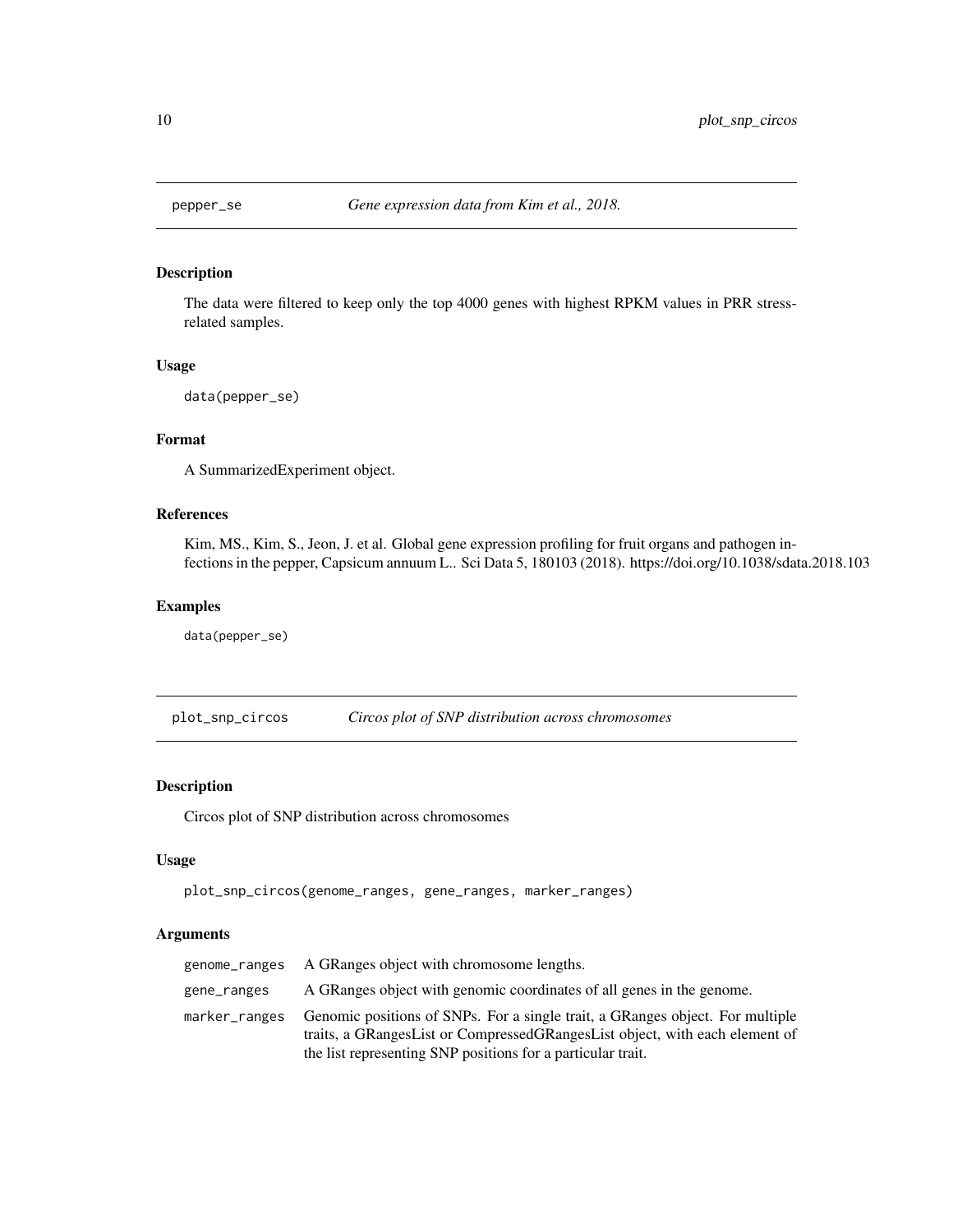<span id="page-9-0"></span>

The data were filtered to keep only the top 4000 genes with highest RPKM values in PRR stressrelated samples.

#### Usage

```
data(pepper_se)
```
#### Format

A SummarizedExperiment object.

#### References

Kim, MS., Kim, S., Jeon, J. et al. Global gene expression profiling for fruit organs and pathogen infections in the pepper, Capsicum annuum L.. Sci Data 5, 180103 (2018). https://doi.org/10.1038/sdata.2018.103

#### Examples

```
data(pepper_se)
```
plot\_snp\_circos *Circos plot of SNP distribution across chromosomes*

#### Description

Circos plot of SNP distribution across chromosomes

#### Usage

```
plot_snp_circos(genome_ranges, gene_ranges, marker_ranges)
```
#### Arguments

|               | genome_ranges A GRanges object with chromosome lengths.                                                                                                                                                                     |
|---------------|-----------------------------------------------------------------------------------------------------------------------------------------------------------------------------------------------------------------------------|
| gene_ranges   | A GRanges object with genomic coordinates of all genes in the genome.                                                                                                                                                       |
| marker_ranges | Genomic positions of SNPs. For a single trait, a GRanges object. For multiple<br>traits, a GRangesList or CompressedGRangesList object, with each element of<br>the list representing SNP positions for a particular trait. |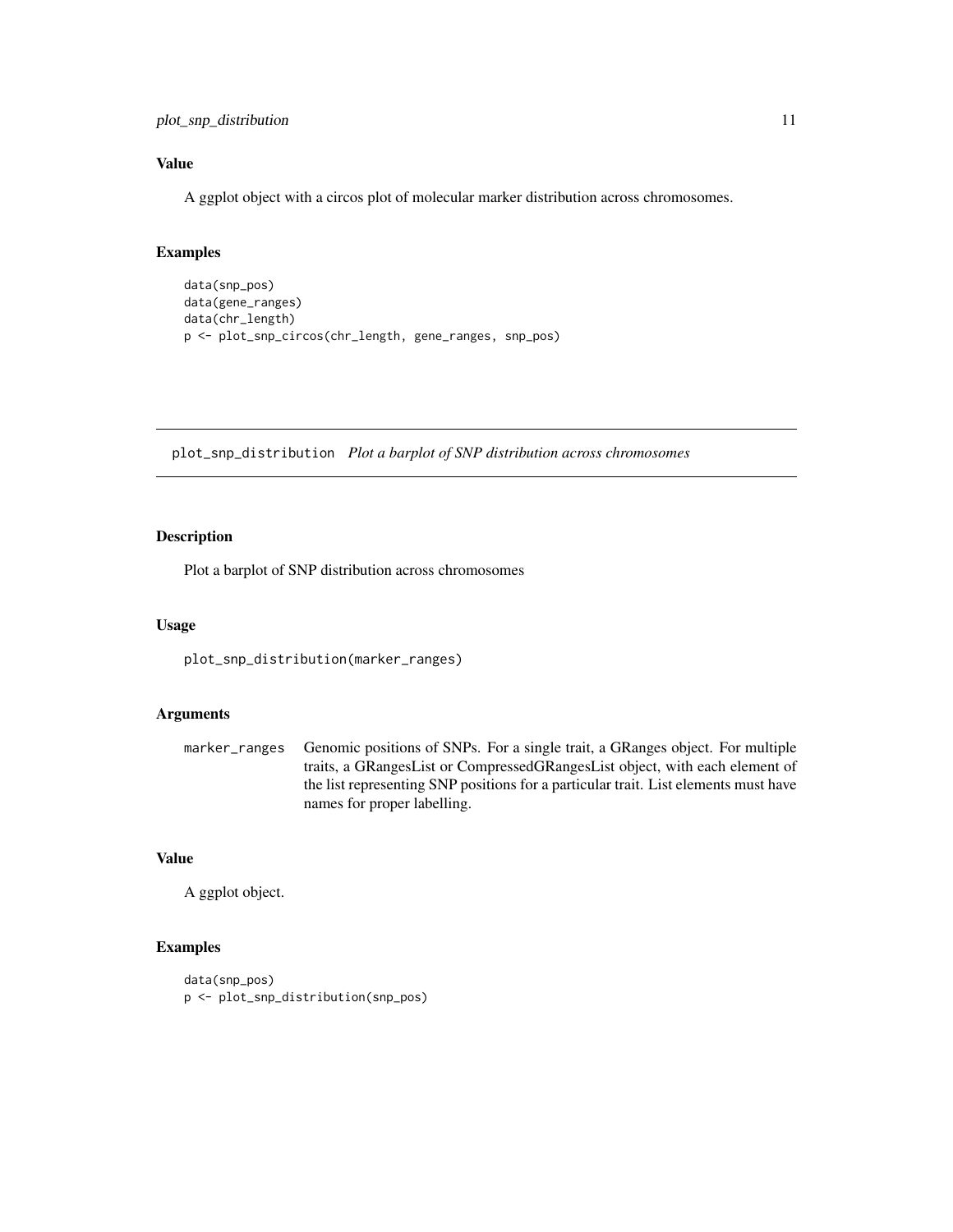<span id="page-10-0"></span>plot\_snp\_distribution 11

#### Value

A ggplot object with a circos plot of molecular marker distribution across chromosomes.

#### Examples

```
data(snp_pos)
data(gene_ranges)
data(chr_length)
p <- plot_snp_circos(chr_length, gene_ranges, snp_pos)
```
plot\_snp\_distribution *Plot a barplot of SNP distribution across chromosomes*

#### Description

Plot a barplot of SNP distribution across chromosomes

#### Usage

plot\_snp\_distribution(marker\_ranges)

#### Arguments

marker\_ranges Genomic positions of SNPs. For a single trait, a GRanges object. For multiple traits, a GRangesList or CompressedGRangesList object, with each element of the list representing SNP positions for a particular trait. List elements must have names for proper labelling.

#### Value

A ggplot object.

#### Examples

```
data(snp_pos)
p <- plot_snp_distribution(snp_pos)
```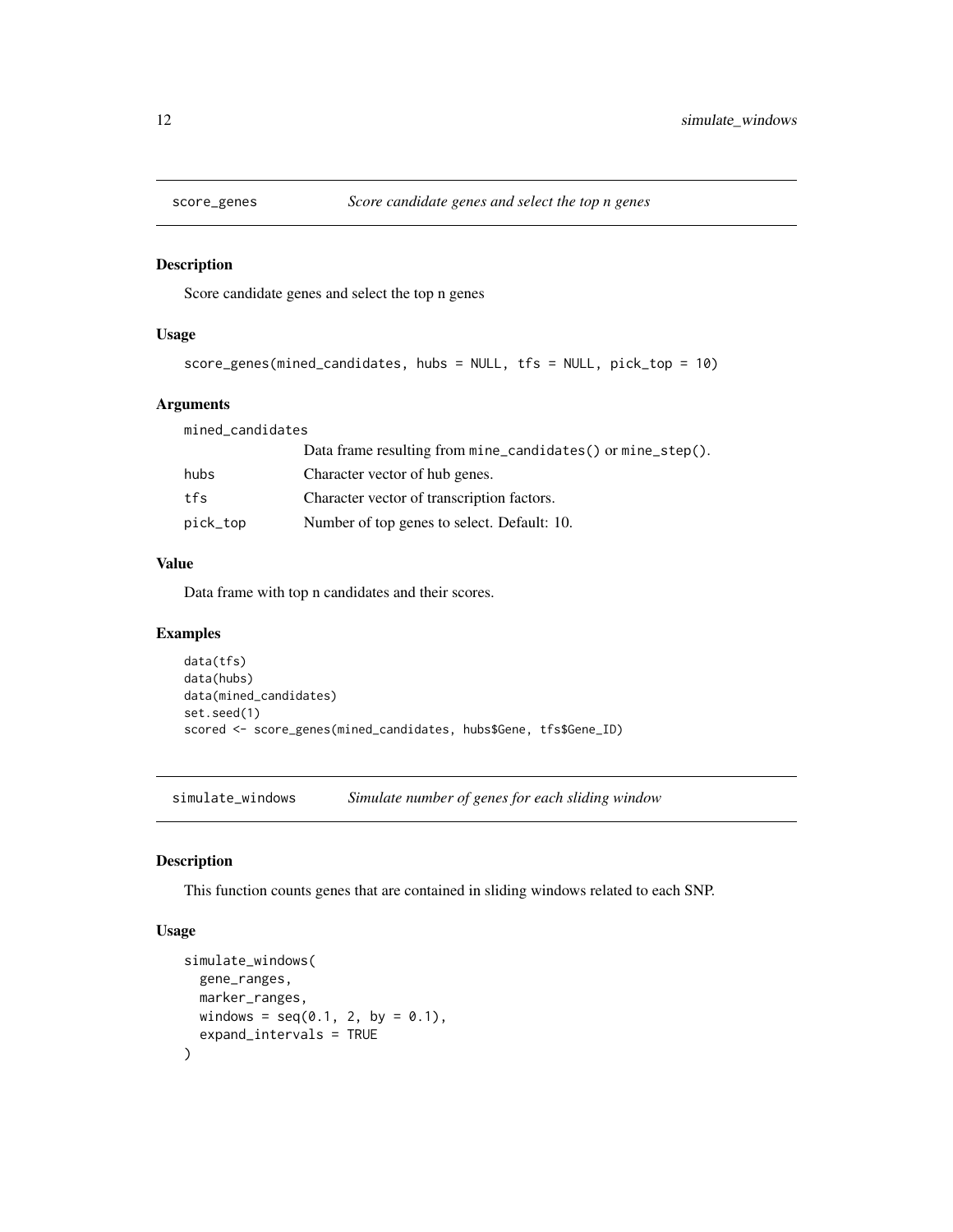<span id="page-11-0"></span>

Score candidate genes and select the top n genes

#### Usage

```
score_genes(mined_candidates, hubs = NULL, tfs = NULL, pick_top = 10)
```
#### Arguments

| mined_candidates |                                                             |
|------------------|-------------------------------------------------------------|
|                  | Data frame resulting from mine_candidates() or mine_step(). |
| hubs             | Character vector of hub genes.                              |
| tfs              | Character vector of transcription factors.                  |
| pick_top         | Number of top genes to select. Default: 10.                 |

#### Value

Data frame with top n candidates and their scores.

#### Examples

```
data(tfs)
data(hubs)
data(mined_candidates)
set.seed(1)
scored <- score_genes(mined_candidates, hubs$Gene, tfs$Gene_ID)
```
simulate\_windows *Simulate number of genes for each sliding window*

#### Description

This function counts genes that are contained in sliding windows related to each SNP.

#### Usage

```
simulate_windows(
  gene_ranges,
 marker_ranges,
 windows = seq(0.1, 2, by = 0.1),
  expand_intervals = TRUE
)
```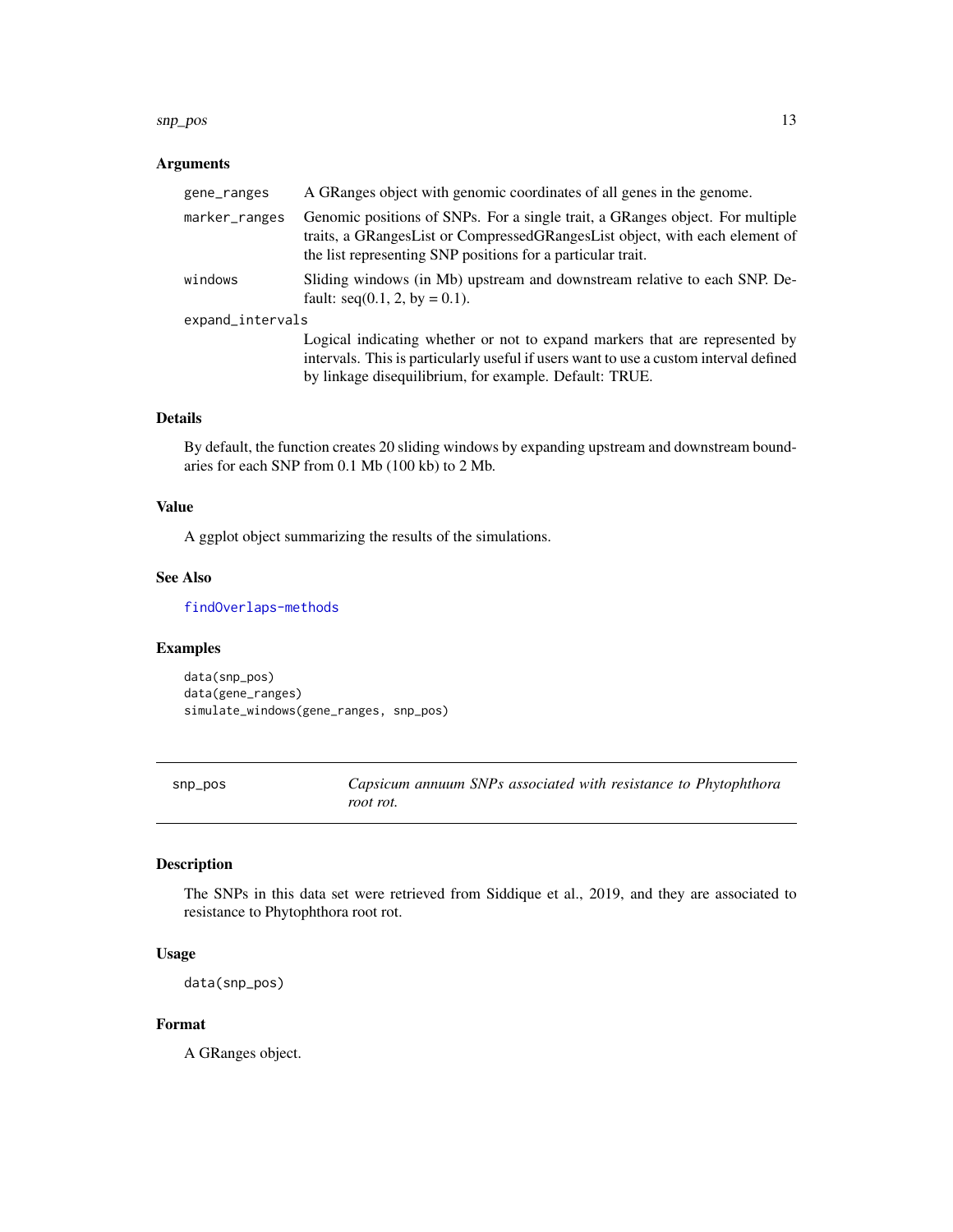#### <span id="page-12-0"></span>snp\_pos 13

#### Arguments

| gene_ranges      | A GRanges object with genomic coordinates of all genes in the genome.                                                                                                                                                       |  |  |  |
|------------------|-----------------------------------------------------------------------------------------------------------------------------------------------------------------------------------------------------------------------------|--|--|--|
| marker_ranges    | Genomic positions of SNPs. For a single trait, a GRanges object. For multiple<br>traits, a GRangesList or CompressedGRangesList object, with each element of<br>the list representing SNP positions for a particular trait. |  |  |  |
| windows          | Sliding windows (in Mb) upstream and downstream relative to each SNP. De-<br>fault: $seq(0.1, 2, by = 0.1)$ .                                                                                                               |  |  |  |
| expand_intervals |                                                                                                                                                                                                                             |  |  |  |
|                  | Logical indicating whether or not to expand markers that are represented by                                                                                                                                                 |  |  |  |
|                  | intervals. This is particularly useful if users want to use a custom interval defined                                                                                                                                       |  |  |  |
|                  | by linkage disequilibrium, for example. Default: TRUE.                                                                                                                                                                      |  |  |  |

#### Details

By default, the function creates 20 sliding windows by expanding upstream and downstream boundaries for each SNP from 0.1 Mb (100 kb) to 2 Mb.

#### Value

A ggplot object summarizing the results of the simulations.

#### See Also

[findOverlaps-methods](#page-0-0)

#### Examples

data(snp\_pos) data(gene\_ranges) simulate\_windows(gene\_ranges, snp\_pos)

snp\_pos *Capsicum annuum SNPs associated with resistance to Phytophthora root rot.*

### Description

The SNPs in this data set were retrieved from Siddique et al., 2019, and they are associated to resistance to Phytophthora root rot.

#### Usage

data(snp\_pos)

#### Format

A GRanges object.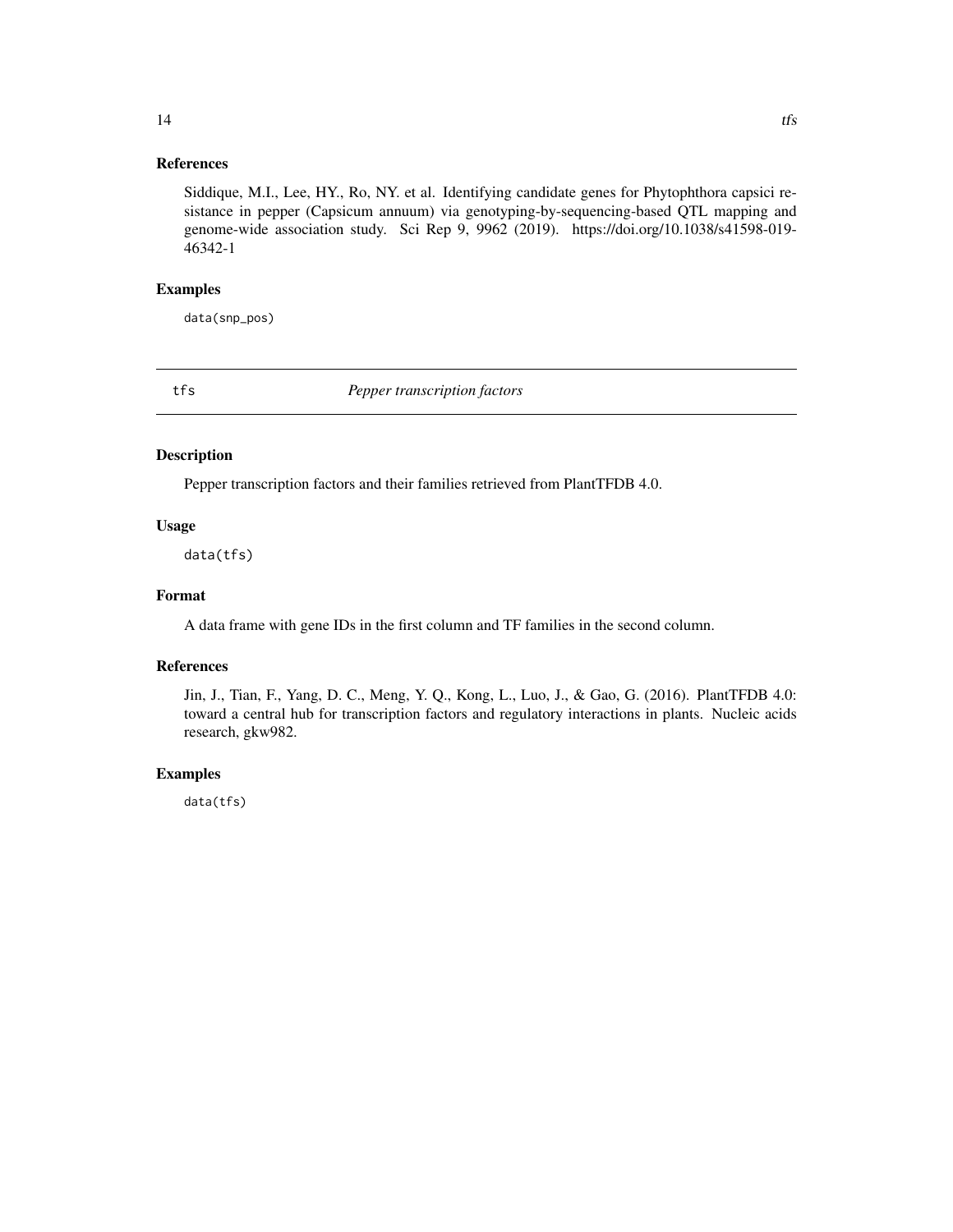#### <span id="page-13-0"></span>References

Siddique, M.I., Lee, HY., Ro, NY. et al. Identifying candidate genes for Phytophthora capsici resistance in pepper (Capsicum annuum) via genotyping-by-sequencing-based QTL mapping and genome-wide association study. Sci Rep 9, 9962 (2019). https://doi.org/10.1038/s41598-019- 46342-1

#### Examples

data(snp\_pos)

tfs *Pepper transcription factors*

#### Description

Pepper transcription factors and their families retrieved from PlantTFDB 4.0.

#### Usage

data(tfs)

#### Format

A data frame with gene IDs in the first column and TF families in the second column.

#### References

Jin, J., Tian, F., Yang, D. C., Meng, Y. Q., Kong, L., Luo, J., & Gao, G. (2016). PlantTFDB 4.0: toward a central hub for transcription factors and regulatory interactions in plants. Nucleic acids research, gkw982.

#### Examples

data(tfs)